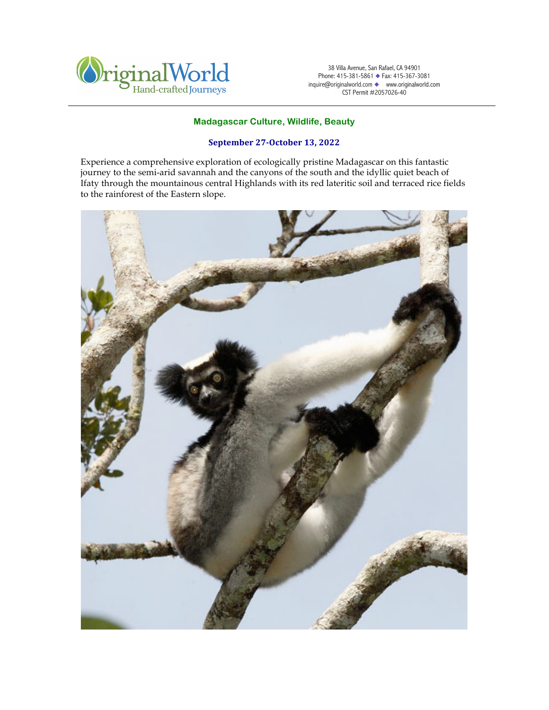

38 Villa Avenue, San Rafael, CA 94901 Phone: 415-381-5861 ◆ Fax: 415-367-3081 inquire@originalworld.com ◆ www.originalworld.com CST Permit #2057026-40

# **Madagascar Culture, Wildlife, Beauty**

## **September 27-October 13, 2022**

Experience a comprehensive exploration of ecologically pristine Madagascar on this fantastic journey to the semi-arid savannah and the canyons of the south and the idyllic quiet beach of Ifaty through the mountainous central Highlands with its red lateritic soil and terraced rice fields to the rainforest of the Eastern slope.

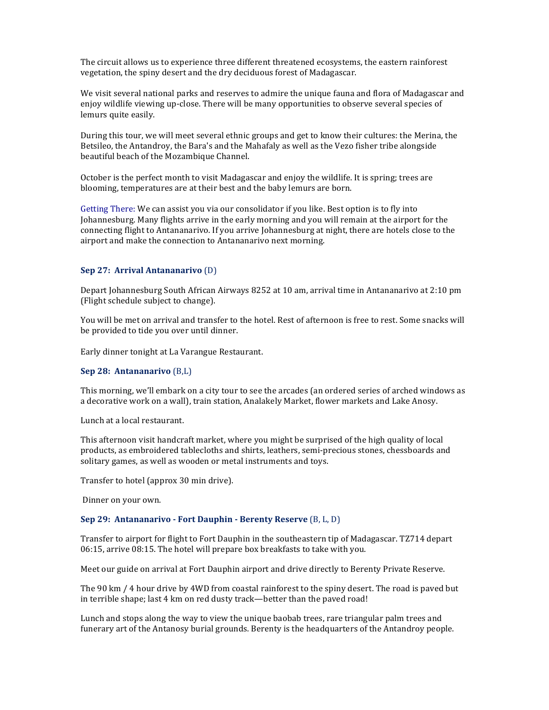The circuit allows us to experience three different threatened ecosystems, the eastern rainforest vegetation, the spiny desert and the dry deciduous forest of Madagascar.

We visit several national parks and reserves to admire the unique fauna and flora of Madagascar and enjoy wildlife viewing up-close. There will be many opportunities to observe several species of lemurs quite easily.

During this tour, we will meet several ethnic groups and get to know their cultures: the Merina, the Betsileo, the Antandroy, the Bara's and the Mahafaly as well as the Vezo fisher tribe alongside beautiful beach of the Mozambique Channel.

October is the perfect month to visit Madagascar and enjoy the wildlife. It is spring; trees are blooming, temperatures are at their best and the baby lemurs are born.

Getting There: We can assist you via our consolidator if you like. Best option is to fly into Johannesburg. Many flights arrive in the early morning and you will remain at the airport for the connecting flight to Antananarivo. If you arrive Johannesburg at night, there are hotels close to the airport and make the connection to Antananarivo next morning.

## **Sep 27: Arrival Antananarivo** (D)

Depart Johannesburg South African Airways 8252 at 10 am, arrival time in Antananarivo at 2:10 pm (Flight schedule subject to change).

You will be met on arrival and transfer to the hotel. Rest of afternoon is free to rest. Some snacks will be provided to tide you over until dinner.

Early dinner tonight at La Varangue Restaurant.

#### **Sep 28: Antananarivo** (B,L)

This morning, we'll embark on a city tour to see the arcades (an ordered series of arched windows as a decorative work on a wall), train station, Analakely Market, flower markets and Lake Anosy.

Lunch at a local restaurant.

This afternoon visit handcraft market, where you might be surprised of the high quality of local products, as embroidered tablecloths and shirts, leathers, semi-precious stones, chessboards and solitary games, as well as wooden or metal instruments and toys.

Transfer to hotel (approx 30 min drive).

Dinner on your own.

#### **Sep 29: Antananarivo - Fort Dauphin - Berenty Reserve** (B, L, D)

Transfer to airport for flight to Fort Dauphin in the southeastern tip of Madagascar. TZ714 depart 06:15, arrive 08:15. The hotel will prepare box breakfasts to take with you.

Meet our guide on arrival at Fort Dauphin airport and drive directly to Berenty Private Reserve.

The 90 km / 4 hour drive by 4WD from coastal rainforest to the spiny desert. The road is paved but in terrible shape; last 4 km on red dusty track—better than the paved road!

Lunch and stops along the way to view the unique baobab trees, rare triangular palm trees and funerary art of the Antanosy burial grounds. Berenty is the headquarters of the Antandroy people.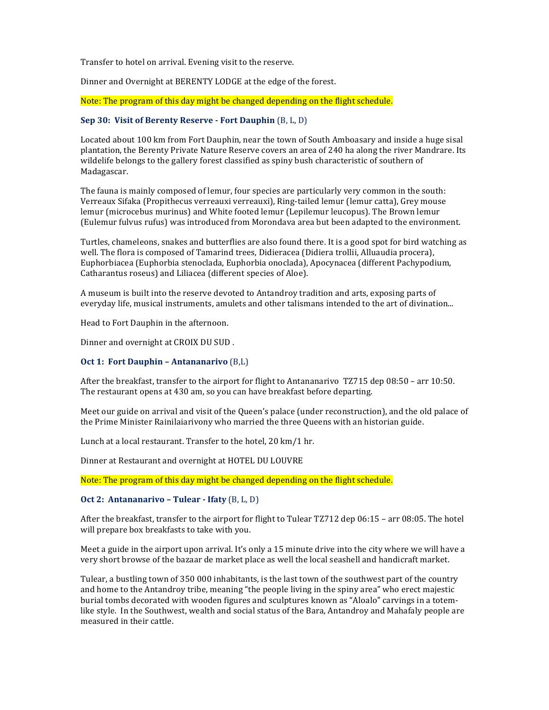Transfer to hotel on arrival. Evening visit to the reserve.

Dinner and Overnight at BERENTY LODGE at the edge of the forest.

Note: The program of this day might be changed depending on the flight schedule.

## **Sep 30: Visit of Berenty Reserve - Fort Dauphin** (B, L, D)

Located about 100 km from Fort Dauphin, near the town of South Amboasary and inside a huge sisal plantation, the Berenty Private Nature Reserve covers an area of 240 ha along the river Mandrare. Its wildelife belongs to the gallery forest classified as spiny bush characteristic of southern of Madagascar. 

The fauna is mainly composed of lemur, four species are particularly very common in the south: Verreaux Sifaka (Propithecus verreauxi verreauxi), Ring-tailed lemur (lemur catta), Grey mouse lemur (microcebus murinus) and White footed lemur (Lepilemur leucopus). The Brown lemur (Eulemur fulvus rufus) was introduced from Morondava area but been adapted to the environment.

Turtles, chameleons, snakes and butterflies are also found there. It is a good spot for bird watching as well. The flora is composed of Tamarind trees, Didieracea (Didiera trollii, Alluaudia procera), Euphorbiacea (Euphorbia stenoclada, Euphorbia onoclada), Apocynacea (different Pachypodium, Catharantus roseus) and Liliacea (different species of Aloe).

A museum is built into the reserve devoted to Antandroy tradition and arts, exposing parts of everyday life, musical instruments, amulets and other talismans intended to the art of divination...

Head to Fort Dauphin in the afternoon.

Dinner and overnight at CROIX DU SUD.

## **Oct 1: Fort Dauphin - Antananarivo** (B,L)

After the breakfast, transfer to the airport for flight to Antananarivo  $TZ715$  dep 08:50 – arr 10:50. The restaurant opens at 430 am, so you can have breakfast before departing.

Meet our guide on arrival and visit of the Queen's palace (under reconstruction), and the old palace of the Prime Minister Rainilaiarivony who married the three Queens with an historian guide.

Lunch at a local restaurant. Transfer to the hotel, 20 km/1 hr.

Dinner at Restaurant and overnight at HOTEL DU LOUVRE

Note: The program of this day might be changed depending on the flight schedule.

## **Oct 2: Antananarivo – Tulear - Ifaty** (B, L, D)

After the breakfast, transfer to the airport for flight to Tulear TZ712 dep  $06:15$  – arr  $08:05$ . The hotel will prepare box breakfasts to take with you.

Meet a guide in the airport upon arrival. It's only a 15 minute drive into the city where we will have a very short browse of the bazaar de market place as well the local seashell and handicraft market.

Tulear, a bustling town of 350 000 inhabitants, is the last town of the southwest part of the country and home to the Antandroy tribe, meaning "the people living in the spiny area" who erect majestic burial tombs decorated with wooden figures and sculptures known as "Aloalo" carvings in a totemlike style. In the Southwest, wealth and social status of the Bara, Antandroy and Mahafaly people are measured in their cattle.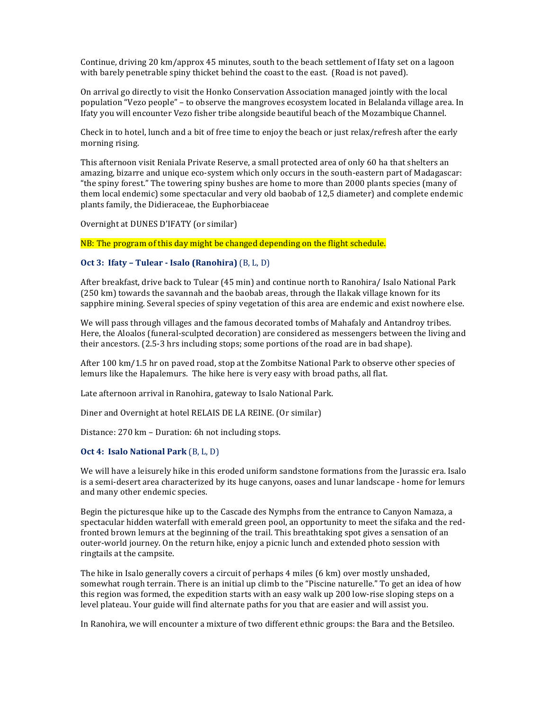Continue, driving 20 km/approx 45 minutes, south to the beach settlement of Ifaty set on a lagoon with barely penetrable spiny thicket behind the coast to the east. (Road is not paved).

On arrival go directly to visit the Honko Conservation Association managed jointly with the local population "Vezo people" – to observe the mangroves ecosystem located in Belalanda village area. In Ifaty you will encounter Vezo fisher tribe alongside beautiful beach of the Mozambique Channel.

Check in to hotel, lunch and a bit of free time to enjoy the beach or just relax/refresh after the early morning rising.

This afternoon visit Reniala Private Reserve, a small protected area of only 60 ha that shelters an amazing, bizarre and unique eco-system which only occurs in the south-eastern part of Madagascar: "the spiny forest." The towering spiny bushes are home to more than 2000 plants species (many of them local endemic) some spectacular and very old baobab of 12.5 diameter) and complete endemic plants family, the Didieraceae, the Euphorbiaceae

Overnight at DUNES D'IFATY (or similar)

NB: The program of this day might be changed depending on the flight schedule.

### **Oct 3: Ifaty – Tulear - Isalo (Ranohira)** (B, L, D)

After breakfast, drive back to Tulear (45 min) and continue north to Ranohira/ Isalo National Park (250 km) towards the savannah and the baobab areas, through the Ilakak village known for its sapphire mining. Several species of spiny vegetation of this area are endemic and exist nowhere else.

We will pass through villages and the famous decorated tombs of Mahafaly and Antandroy tribes. Here, the Aloalos (funeral-sculpted decoration) are considered as messengers between the living and their ancestors. (2.5-3 hrs including stops; some portions of the road are in bad shape).

After  $100 \text{ km}/1.5 \text{ hr}$  on paved road, stop at the Zombitse National Park to observe other species of lemurs like the Hapalemurs. The hike here is very easy with broad paths, all flat.

Late afternoon arrival in Ranohira, gateway to Isalo National Park.

Diner and Overnight at hotel RELAIS DE LA REINE. (Or similar)

Distance: 270 km - Duration: 6h not including stops.

## **Oct 4: Isalo National Park** (B, L, D)

We will have a leisurely hike in this eroded uniform sandstone formations from the Jurassic era. Isalo is a semi-desert area characterized by its huge canyons, oases and lunar landscape - home for lemurs and many other endemic species.

Begin the picturesque hike up to the Cascade des Nymphs from the entrance to Canyon Namaza, a spectacular hidden waterfall with emerald green pool, an opportunity to meet the sifaka and the redfronted brown lemurs at the beginning of the trail. This breathtaking spot gives a sensation of an outer-world journey. On the return hike, enjoy a picnic lunch and extended photo session with ringtails at the campsite.

The hike in Isalo generally covers a circuit of perhaps 4 miles (6 km) over mostly unshaded, somewhat rough terrain. There is an initial up climb to the "Piscine naturelle." To get an idea of how this region was formed, the expedition starts with an easy walk up 200 low-rise sloping steps on a level plateau. Your guide will find alternate paths for you that are easier and will assist you.

In Ranohira, we will encounter a mixture of two different ethnic groups: the Bara and the Betsileo.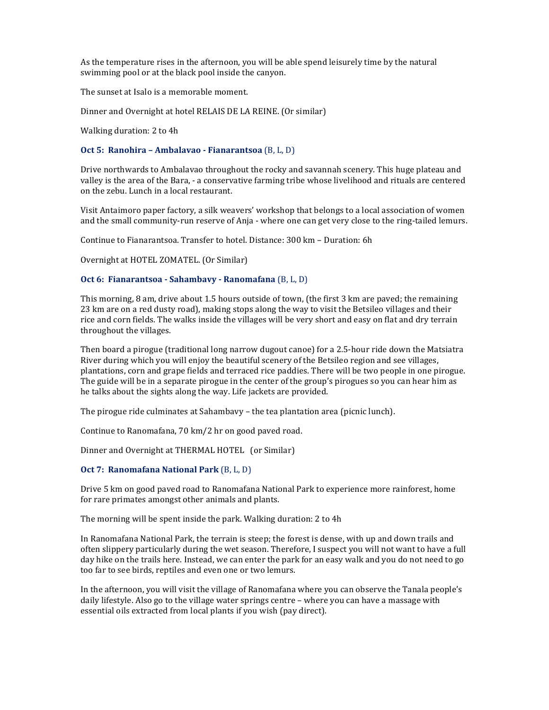As the temperature rises in the afternoon, you will be able spend leisurely time by the natural swimming pool or at the black pool inside the canyon.

The sunset at Isalo is a memorable moment.

Dinner and Overnight at hotel RELAIS DE LA REINE. (Or similar)

Walking duration: 2 to 4h

## **Oct 5: Ranohira – Ambalavao - Fianarantsoa** (B, L, D)

Drive northwards to Ambalavao throughout the rocky and savannah scenery. This huge plateau and valley is the area of the Bara, - a conservative farming tribe whose livelihood and rituals are centered on the zebu. Lunch in a local restaurant.

Visit Antaimoro paper factory, a silk weavers' workshop that belongs to a local association of women and the small community-run reserve of Anja - where one can get very close to the ring-tailed lemurs.

Continue to Fianarantsoa. Transfer to hotel. Distance: 300 km - Duration: 6h

Overnight at HOTEL ZOMATEL. (Or Similar)

#### **Oct 6: Fianarantsoa - Sahambavy - Ranomafana** (B, L, D)

This morning,  $8$  am, drive about 1.5 hours outside of town, (the first  $3 \text{ km}$  are paved; the remaining 23 km are on a red dusty road), making stops along the way to visit the Betsileo villages and their rice and corn fields. The walks inside the villages will be very short and easy on flat and dry terrain throughout the villages.

Then board a pirogue (traditional long narrow dugout canoe) for a 2.5-hour ride down the Matsiatra River during which you will enjoy the beautiful scenery of the Betsileo region and see villages, plantations, corn and grape fields and terraced rice paddies. There will be two people in one pirogue. The guide will be in a separate pirogue in the center of the group's pirogues so you can hear him as he talks about the sights along the way. Life jackets are provided.

The pirogue ride culminates at Sahambavy  $-$  the tea plantation area (picnic lunch).

Continue to Ranomafana,  $70 \text{ km}/2$  hr on good paved road.

Dinner and Overnight at THERMAL HOTEL (or Similar)

#### **Oct 7: Ranomafana National Park** (B, L, D)

Drive 5 km on good paved road to Ranomafana National Park to experience more rainforest, home for rare primates amongst other animals and plants.

The morning will be spent inside the park. Walking duration: 2 to 4h

In Ranomafana National Park, the terrain is steep; the forest is dense, with up and down trails and often slippery particularly during the wet season. Therefore, I suspect you will not want to have a full day hike on the trails here. Instead, we can enter the park for an easy walk and you do not need to go too far to see birds, reptiles and even one or two lemurs.

In the afternoon, you will visit the village of Ranomafana where you can observe the Tanala people's daily lifestyle. Also go to the village water springs centre – where you can have a massage with essential oils extracted from local plants if you wish (pay direct).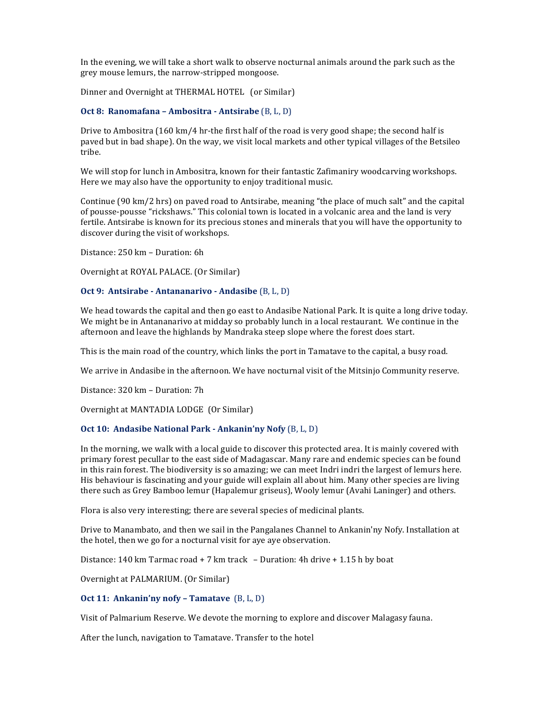In the evening, we will take a short walk to observe nocturnal animals around the park such as the grey mouse lemurs, the narrow-stripped mongoose.

Dinner and Overnight at THERMAL HOTEL (or Similar)

## **Oct 8: Ranomafana – Ambositra - Antsirabe** (B, L, D)

Drive to Ambositra  $(160 \text{ km}/4 \text{ hr-the first half of the road is very good shape; the second half is$ paved but in bad shape). On the way, we visit local markets and other typical villages of the Betsileo tribe.

We will stop for lunch in Ambositra, known for their fantastic Zafimaniry woodcarving workshops. Here we may also have the opportunity to enjoy traditional music.

Continue  $(90 \text{ km}/2 \text{ hrs})$  on paved road to Antsirabe, meaning "the place of much salt" and the capital of pousse-pousse "rickshaws." This colonial town is located in a volcanic area and the land is very fertile. Antsirabe is known for its precious stones and minerals that you will have the opportunity to discover during the visit of workshops.

Distance: 250 km - Duration: 6h

Overnight at ROYAL PALACE. (Or Similar)

## **Oct 9: Antsirabe - Antananarivo - Andasibe** (B, L, D)

We head towards the capital and then go east to Andasibe National Park. It is quite a long drive today. We might be in Antananarivo at midday so probably lunch in a local restaurant. We continue in the afternoon and leave the highlands by Mandraka steep slope where the forest does start.

This is the main road of the country, which links the port in Tamatave to the capital, a busy road.

We arrive in Andasibe in the afternoon. We have nocturnal visit of the Mitsinjo Community reserve.

Distance: 320 km - Duration: 7h

Overnight at MANTADIA LODGE (Or Similar)

### **Oct 10: Andasibe National Park - Ankanin'ny Nofy** (B, L, D)

In the morning, we walk with a local guide to discover this protected area. It is mainly covered with primary forest pecullar to the east side of Madagascar. Many rare and endemic species can be found in this rain forest. The biodiversity is so amazing; we can meet Indri indri the largest of lemurs here. His behaviour is fascinating and your guide will explain all about him. Many other species are living there such as Grey Bamboo lemur (Hapalemur griseus), Wooly lemur (Avahi Laninger) and others.

Flora is also very interesting; there are several species of medicinal plants.

Drive to Manambato, and then we sail in the Pangalanes Channel to Ankanin'ny Nofy. Installation at the hotel, then we go for a nocturnal visit for aye aye observation.

Distance:  $140 \text{ km}$  Tarmac road + 7 km track  $\sim$  Duration: 4h drive + 1.15 h by boat

Overnight at PALMARIUM. (Or Similar)

#### **Oct 11: Ankanin'ny nofy – Tamatave** (B, L, D)

Visit of Palmarium Reserve. We devote the morning to explore and discover Malagasy fauna.

After the lunch, navigation to Tamatave. Transfer to the hotel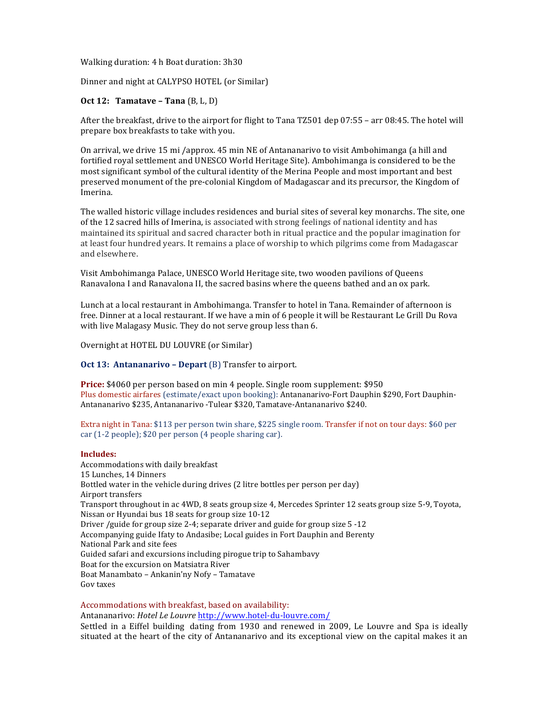Walking duration: 4 h Boat duration: 3h30

Dinner and night at CALYPSO HOTEL (or Similar)

## **Oct 12: Tamatave – Tana** (B, L, D)

After the breakfast, drive to the airport for flight to Tana TZ501 dep 07:55 - arr 08:45. The hotel will prepare box breakfasts to take with you.

On arrival, we drive 15 mi /approx. 45 min NE of Antananarivo to visit Ambohimanga (a hill and fortified royal settlement and UNESCO World Heritage Site). Ambohimanga is considered to be the most significant symbol of the cultural identity of the Merina People and most important and best preserved monument of the pre-colonial Kingdom of Madagascar and its precursor, the Kingdom of Imerina.

The walled historic village includes residences and burial sites of several key monarchs. The site, one of the 12 sacred hills of Imerina, is associated with strong feelings of national identity and has maintained its spiritual and sacred character both in ritual practice and the popular imagination for at least four hundred years. It remains a place of worship to which pilgrims come from Madagascar and elsewhere.

Visit Ambohimanga Palace, UNESCO World Heritage site, two wooden pavilions of Queens Ranavalona I and Ranavalona II, the sacred basins where the queens bathed and an ox park.

Lunch at a local restaurant in Ambohimanga. Transfer to hotel in Tana. Remainder of afternoon is free. Dinner at a local restaurant. If we have a min of 6 people it will be Restaurant Le Grill Du Rova with live Malagasy Music. They do not serve group less than 6.

Overnight at HOTEL DU LOUVRE (or Similar)

**Oct 13: Antananarivo - Depart** (B) Transfer to airport.

**Price:** \$4060 per person based on min 4 people. Single room supplement: \$950 Plus domestic airfares (estimate/exact upon booking): Antananarivo-Fort Dauphin \$290, Fort Dauphin-Antananarivo \$235, Antananarivo -Tulear \$320, Tamatave-Antananarivo \$240.

Extra night in Tana: \$113 per person twin share, \$225 single room. Transfer if not on tour days: \$60 per car (1-2 people); \$20 per person (4 people sharing car).

#### **Includes:**

Accommodations with daily breakfast 15 Lunches, 14 Dinners Bottled water in the vehicle during drives (2 litre bottles per person per day) Airport transfers Transport throughout in ac 4WD, 8 seats group size 4, Mercedes Sprinter 12 seats group size 5-9, Toyota, Nissan or Hyundai bus 18 seats for group size 10-12 Driver /guide for group size 2-4; separate driver and guide for group size  $5 - 12$ Accompanying guide Ifaty to Andasibe; Local guides in Fort Dauphin and Berenty National Park and site fees Guided safari and excursions including pirogue trip to Sahambavy Boat for the excursion on Matsiatra River Boat Manambato – Ankanin'ny Nofy – Tamatave Gov taxes

Accommodations with breakfast, based on availability:

Antananarivo: *Hotel Le Louvre* http://www.hotel-du-louvre.com/

Settled in a Eiffel building dating from 1930 and renewed in 2009, Le Louvre and Spa is ideally situated at the heart of the city of Antananarivo and its exceptional view on the capital makes it an